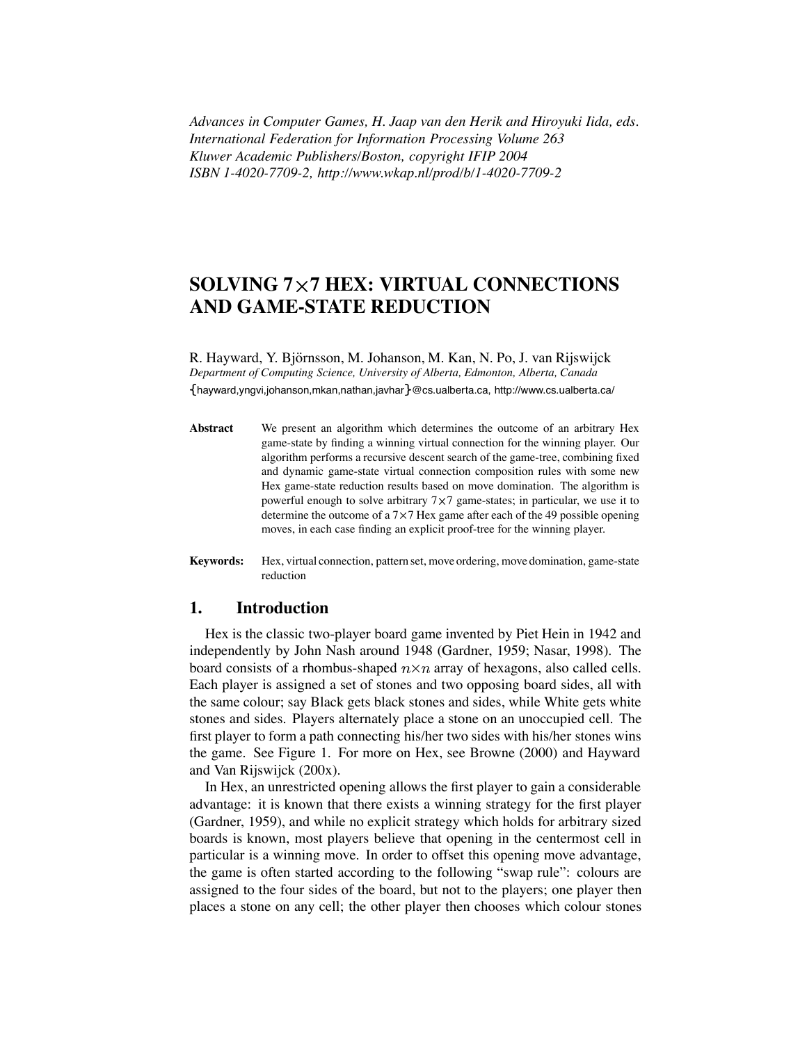*Advances in Computer Games, H. Jaap van den Herik and Hiroyuki Iida, eds. International Federation for Information Processing Volume 263 Kluwer Academic Publishers/Boston, copyright IFIP 2004 ISBN 1-4020-7709-2, http://www.wkap.nl/prod/b/1-4020-7709-2*

# **SOLVING 7 7 HEX: VIRTUAL CONNECTIONS AND GAME-STATE REDUCTION**

R. Hayward, Y. Björnsson, M. Johanson, M. Kan, N. Po, J. van Rijswijck *Department of Computing Science, University of Alberta, Edmonton, Alberta, Canada* hayward,yngvi,johanson,mkan,nathan,javhar @cs.ualberta.ca, http://www.cs.ualberta.ca/

- **Abstract** We present an algorithm which determines the outcome of an arbitrary Hex game-state by finding a winning virtual connection for the winning player. Our algorithm performs a recursive descent search of the game-tree, combining fixed and dynamic game-state virtual connection composition rules with some new Hex game-state reduction results based on move domination. The algorithm is powerful enough to solve arbitrary  $7 \times 7$  game-states; in particular, we use it to determine the outcome of a  $7 \times 7$  Hex game after each of the 49 possible opening moves, in each case finding an explicit proof-tree for the winning player.
- **Keywords:** Hex, virtual connection, pattern set, move ordering, move domination, game-state reduction

### **1. Introduction**

Hex is the classic two-player board game invented by Piet Hein in 1942 and independently by John Nash around 1948 (Gardner, 1959; Nasar, 1998). The board consists of a rhombus-shaped  $n \times n$  array of hexagons, also called cells. Each player is assigned a set of stones and two opposing board sides, all with the same colour; say Black gets black stones and sides, while White gets white stones and sides. Players alternately place a stone on an unoccupied cell. The first player to form a path connecting his/her two sides with his/her stones wins the game. See Figure 1. For more on Hex, see Browne (2000) and Hayward and Van Rijswijck (200x).

In Hex, an unrestricted opening allows the first player to gain a considerable advantage: it is known that there exists a winning strategy for the first player (Gardner, 1959), and while no explicit strategy which holds for arbitrary sized boards is known, most players believe that opening in the centermost cell in particular is a winning move. In order to offset this opening move advantage, the game is often started according to the following "swap rule": colours are assigned to the four sides of the board, but not to the players; one player then places a stone on any cell; the other player then chooses which colour stones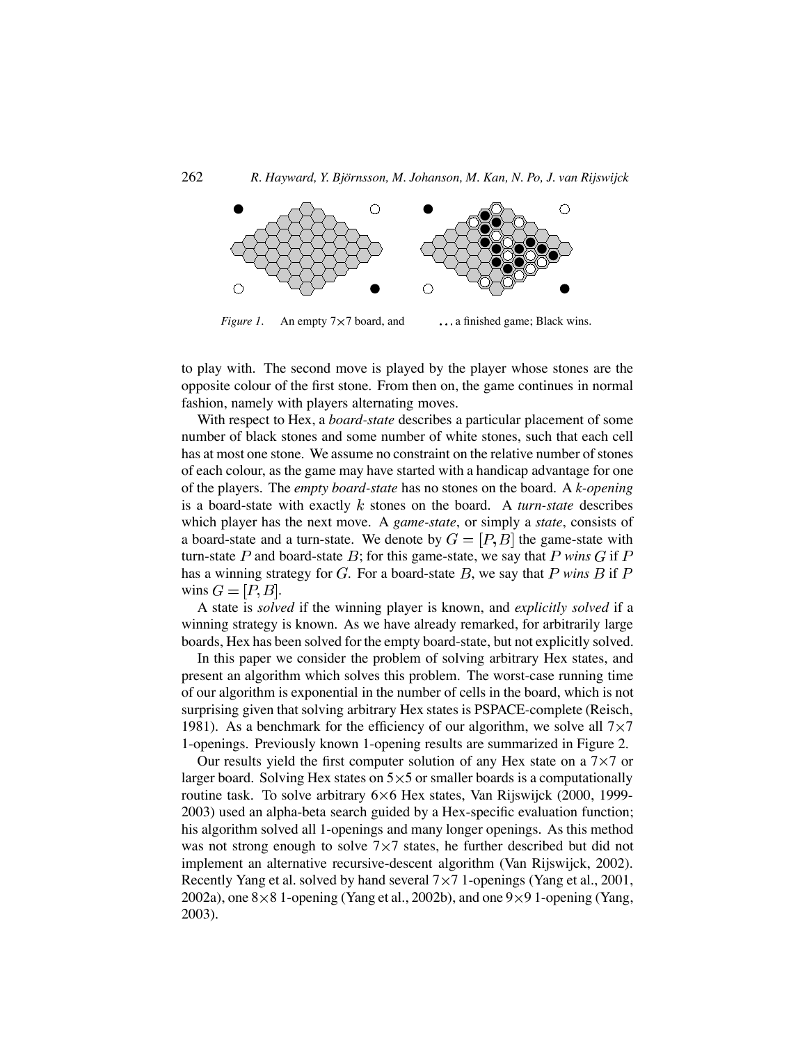

*Figure 1.* An empty 7×7 board, and ... a finished game; Black wins.

to play with. The second move is played by the player whose stones are the opposite colour of the first stone. From then on, the game continues in normal fashion, namely with players alternating moves.

With respect to Hex, a *board-state* describes a particular placement of some number of black stones and some number of white stones, such that each cell has at most one stone. We assume no constraint on the relative number of stones of each colour, as the game may have started with a handicap advantage for one of the players. The *empty board-state* has no stones on the board. A *k-opening* is a board-state with exactly  $k$  stones on the board. A *turn-state* describes which player has the next move. A *game-state*, or simply a *state*, consists of a board-state and a turn-state. We denote by  $G = [P, B]$  the game-state with turn-state  $P$  and board-state  $B$ ; for this game-state, we say that  $P$  wins  $G$  if  $P$ has a winning strategy for  $G$ . For a board-state  $B$ , we say that  $P$  wins  $B$  if  $P$ wins  $G = [P, B]$ .

A state is *solved* if the winning player is known, and *explicitly solved* if a winning strategy is known. As we have already remarked, for arbitrarily large boards, Hex has been solved for the empty board-state, but not explicitly solved.

In this paper we consider the problem of solving arbitrary Hex states, and present an algorithm which solves this problem. The worst-case running time of our algorithm is exponential in the number of cells in the board, which is not surprising given that solving arbitrary Hex states is PSPACE-complete (Reisch, 1981). As a benchmark for the efficiency of our algorithm, we solve all  $7 \times 7$ 1-openings. Previously known 1-opening results are summarized in Figure 2.

Our results yield the first computer solution of any Hex state on a  $7\times7$  or larger board. Solving Hex states on  $5 \times 5$  or smaller boards is a computationally routine task. To solve arbitrary  $6 \times 6$  Hex states, Van Rijswijck (2000, 1999-2003) used an alpha-beta search guided by a Hex-specific evaluation function; his algorithm solved all 1-openings and many longer openings. As this method was not strong enough to solve  $7 \times 7$  states, he further described but did not implement an alternative recursive-descent algorithm (Van Rijswijck, 2002). Recently Yang et al. solved by hand several  $7 \times 7$  1-openings (Yang et al., 2001, 2002a), one  $8 \times 8$  1-opening (Yang et al., 2002b), and one  $9 \times 9$  1-opening (Yang, 2003).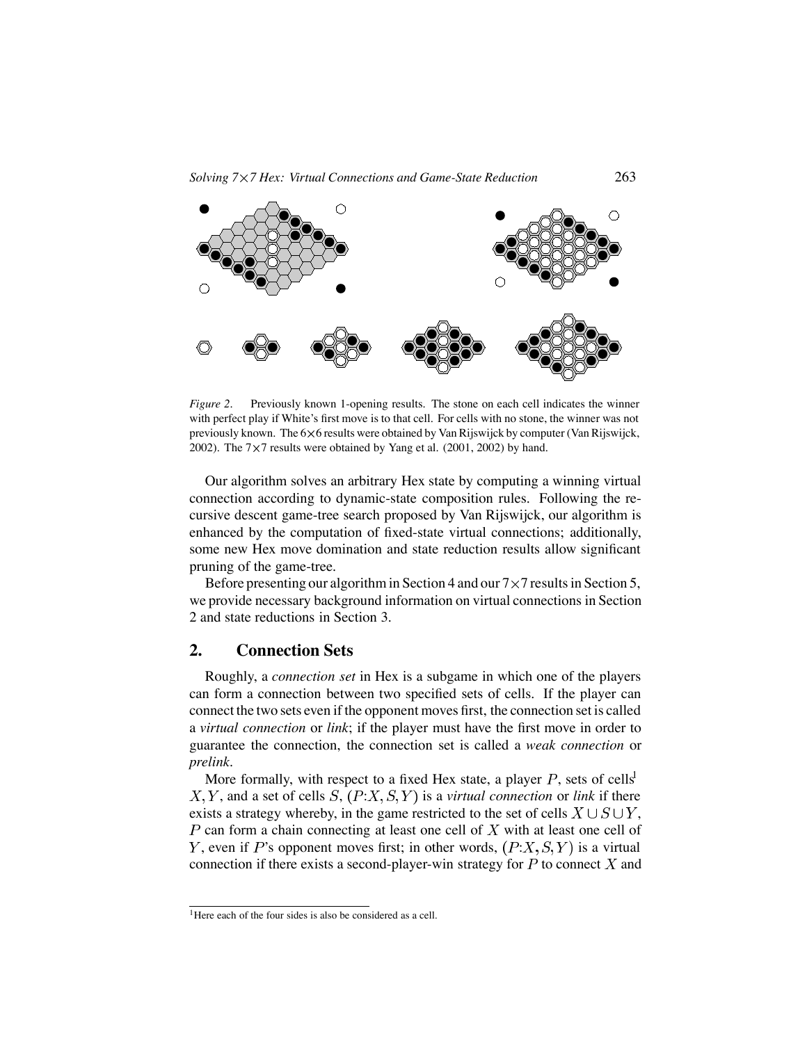

*Figure 2.* Previously known 1-opening results. The stone on each cell indicates the winner with perfect play if White's first move is to that cell. For cells with no stone, the winner was not previously known. The  $6 \times 6$  results were obtained by Van Rijswijck by computer (Van Rijswijck, 2002). The  $7 \times 7$  results were obtained by Yang et al. (2001, 2002) by hand.

Our algorithm solves an arbitrary Hex state by computing a winning virtual connection according to dynamic-state composition rules. Following the recursive descent game-tree search proposed by Van Rijswijck, our algorithm is enhanced by the computation of fixed-state virtual connections; additionally, some new Hex move domination and state reduction results allow significant pruning of the game-tree.

Before presenting our algorithm in Section 4 and our  $7 \times 7$  results in Section 5, we provide necessary background information on virtual connections in Section 2 and state reductions in Section 3.

# **2. Connection Sets**

Roughly, a *connection set* in Hex is a subgame in which one of the players can form a connection between two specified sets of cells. If the player can connect the two sets even if the opponent moves first, the connection set is called a *virtual connection* or *link*; if the player must have the first move in order to guarantee the connection, the connection set is called a *weak connection* or *prelink*.

More formally, with respect to a fixed Hex state, a player  $P$ , sets of cells<sup>1</sup>  $X, Y$ , and a set of cells  $S$ ,  $(P:X, S, Y)$  is a *virtual connection* or *link* if there exists a strategy whereby, in the game restricted to the set of cells  $X \cup S \cup Y$ , P can form a chain connecting at least one cell of X with at least one cell of Y, even if P's opponent moves first; in other words,  $(P:X, S, Y)$  is a virtual connection if there exists a second-player-win strategy for  $P$  to connect  $X$  and

<sup>&</sup>lt;sup>1</sup>Here each of the four sides is also be considered as a cell.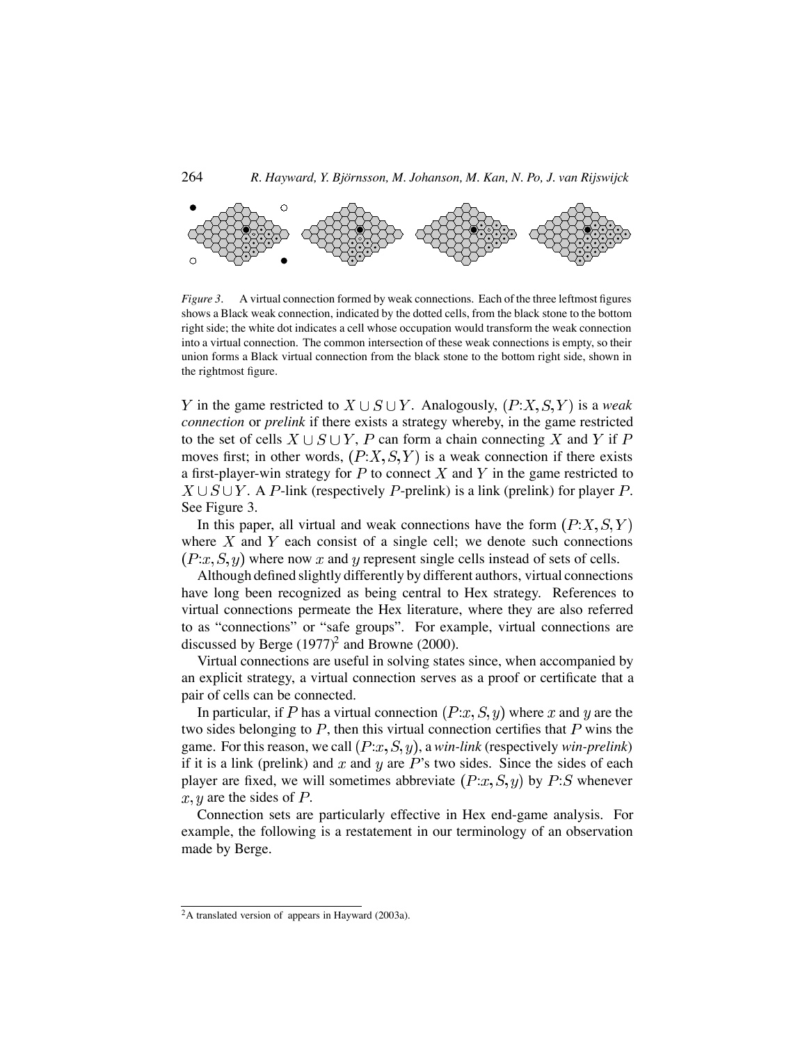

*Figure 3.* A virtual connection formed by weak connections. Each of the three leftmost figures shows a Black weak connection, indicated by the dotted cells, from the black stone to the bottom right side; the white dot indicates a cell whose occupation would transform the weak connection into a virtual connection. The common intersection of these weak connections is empty, so their union forms a Black virtual connection from the black stone to the bottom right side, shown in the rightmost figure.

Y in the game restricted to  $X \cup S \cup Y$ . Analogously,  $(P:X, S, Y)$  is a *weak connection* or *prelink* if there exists a strategy whereby, in the game restricted to the set of cells  $X \cup S \cup Y$ , P can form a chain connecting X and Y if P moves first; in other words,  $(P:X, S, Y)$  is a weak connection if there exists a first-player-win strategy for  $P$  to connect  $X$  and  $Y$  in the game restricted to  $X \cup S \cup Y$ . A P-link (respectively P-prelink) is a link (prelink) for player P. See Figure 3.

In this paper, all virtual and weak connections have the form  $(P:X, S, Y)$ where  $X$  and  $Y$  each consist of a single cell; we denote such connections  $(P:x, S, y)$  where now x and y represent single cells instead of sets of cells.

Although defined slightly differently by different authors, virtual connections have long been recognized as being central to Hex strategy. References to virtual connections permeate the Hex literature, where they are also referred to as "connections" or "safe groups". For example, virtual connections are discussed by Berge  $(1977)^2$  and Browne (2000).

Virtual connections are useful in solving states since, when accompanied by an explicit strategy, a virtual connection serves as a proof or certificate that a pair of cells can be connected.

In particular, if P has a virtual connection  $(P:x, S, y)$  where x and y are the two sides belonging to  $P$ , then this virtual connection certifies that  $P$  wins the game. For this reason, we call  $(P:x, S, y)$ , a *win-link* (respectively *win-prelink*) if it is a link (prelink) and  $x$  and  $y$  are  $P$ 's two sides. Since the sides of each player are fixed, we will sometimes abbreviate  $(P:x, S, y)$  by  $P:S$  whenever  $x, y$  are the sides of  $P$ .

Connection sets are particularly effective in Hex end-game analysis. For example, the following is a restatement in our terminology of an observation made by Berge.

 ${}^{2}$ A translated version of appears in Hayward (2003a).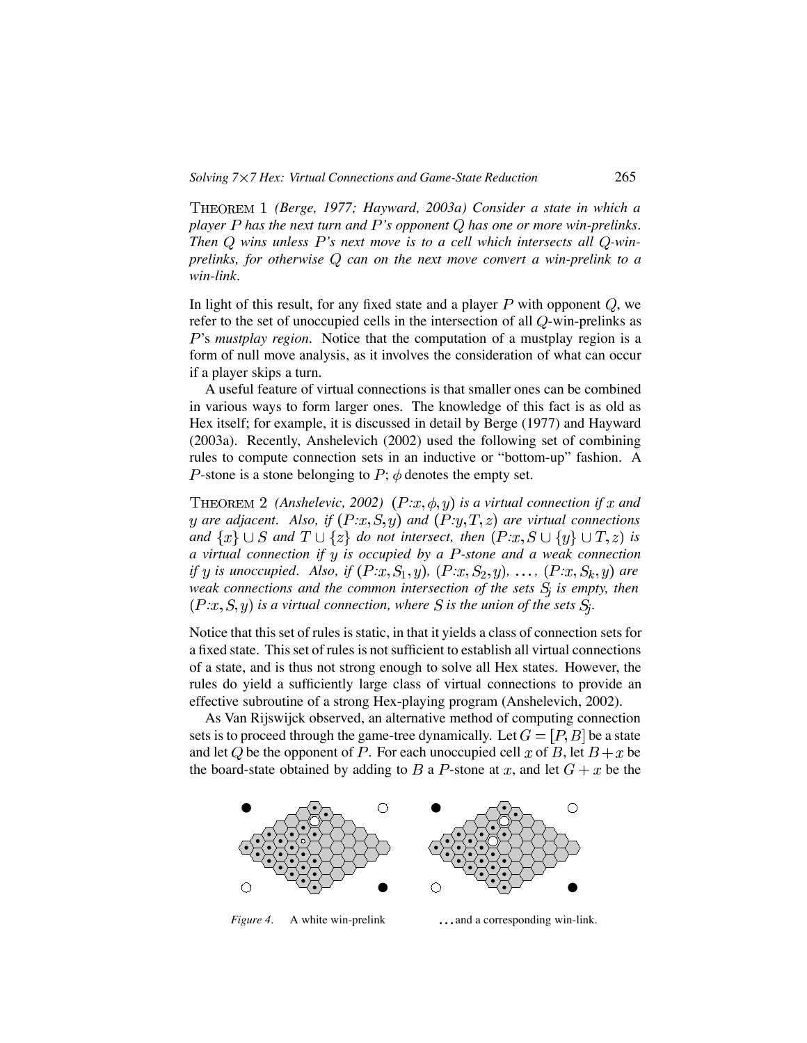*(Berge, 1977; Hayward, 2003a) Consider a state in which a player*  $P$  *has the next turn and*  $P$ 's *opponent*  $Q$  *has one or more win-prelinks. Then Q* wins unless P's next move is to a cell which intersects all *Q*-win*prelinks, for otherwise can on the next move convert a win-prelink to a win-link.*

In light of this result, for any fixed state and a player  $P$  with opponent  $Q$ , we refer to the set of unoccupied cells in the intersection of all  $Q$ -win-prelinks as 's *mustplay region*. Notice that the computation of a mustplay region is a form of null move analysis, as it involves the consideration of what can occur if a player skips a turn.

A useful feature of virtual connections is that smaller ones can be combined in various ways to form larger ones. The knowledge of this fact is as old as Hex itself; for example, it is discussed in detail by Berge (1977) and Hayward (2003a). Recently, Anshelevich (2002) used the following set of combining rules to compute connection sets in an inductive or "bottom-up" fashion. A P-stone is a stone belonging to P;  $\phi$  denotes the empty set.

**THEOREM** 2 (Anshelevic, 2002)  $(P:x, \phi, y)$  is a virtual connection if x and *y* are adjacent. Also, if  $(P:x, S, y)$  and  $(P:y, T, z)$  are virtual connections *and*  $\{x\} \cup S$  *and*  $T \cup \{z\}$  *do not intersect, then*  $(P:x, S \cup \{y\} \cup T, z)$  *is a virtual connection if is occupied by a -stone and a weak connection if y is unoccupied.* Also, *if*  $(P:x, S_1, y)$ ,  $(P:x, S_2, y)$ , ...,  $(P:x, S_k, y)$  are *weak connections and the common intersection of the sets is empty, then*  $(P:x, S, y)$  *is a virtual connection, where S is the union of the sets*  $S_i$ *.* 

Notice that this set of rules is static, in that it yields a class of connection sets for a fixed state. This set of rules is not sufficient to establish all virtual connections of a state, and is thus not strong enough to solve all Hex states. However, the rules do yield a sufficiently large class of virtual connections to provide an effective subroutine of a strong Hex-playing program (Anshelevich, 2002).

As Van Rijswijck observed, an alternative method of computing connection sets is to proceed through the game-tree dynamically. Let  $G = [P, B]$  be a state and let Q be the opponent of P. For each unoccupied cell x of B, let  $B + x$  be the board-state obtained by adding to B a P-stone at x, and let  $G + x$  be the



*Figure* 4. A white win-prelink ... and a corresponding win-link.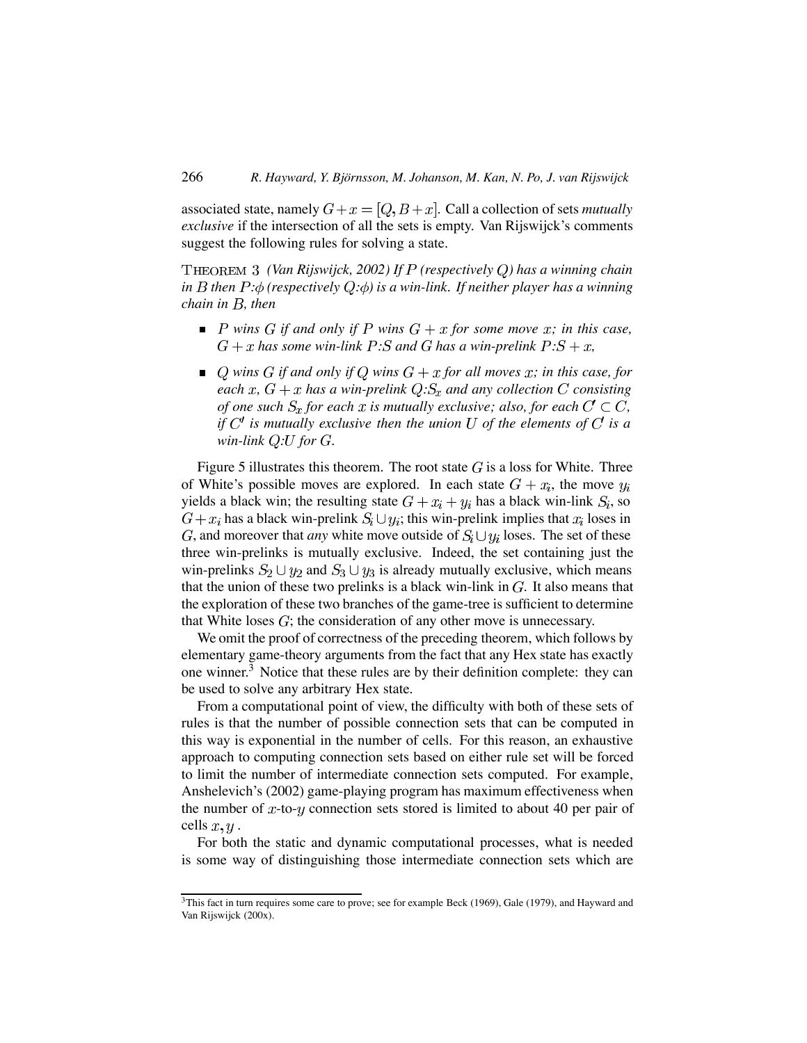associated state, namely  $G + x = [Q, B + x]$ . Call a collection of sets *mutually exclusive* if the intersection of all the sets is empty. Van Rijswijck's comments suggest the following rules for solving a state.

*(Van Rijswijck, 2002) If (respectively ) has a winning chain in B* then  $P:\phi$  (respectively  $Q:\phi$ ) is a win-link. If neither player has a winning *chain in B, then* 

- $\blacksquare$  *P* wins *G* if and only if *P* wins  $G + x$  for some move x; in this case,  $G + x$  has some win-link  $P: S$  and  $G$  has a win-prelink  $P: S + x$ ,
- $\blacksquare$  *Q* wins *G* if and only if *Q* wins  $G + x$  for all moves  $x$ ; in this case, for *each*  $x$ ,  $G + x$  *has a win-prelink*  $Q: S_x$  *and any collection*  $C$  *consisting of one such*  $S_x$  *for each*  $x$  *is mutually exclusive; also, for each*  $C \subset C$ *, if*  $C'$  *is mutually exclusive then the union*  $U$  *of the elements of*  $C$  *is a win-link*  $Q:U$  for  $G$ .

Figure 5 illustrates this theorem. The root state  $G$  is a loss for White. Three of White's possible moves are explored. In each state  $G + x_i$ , the move  $y_i$ yields a black win; the resulting state  $G + x_i + y_i$  has a black win-link  $S_i$ , so  $G + x_i$  has a black win-prelink  $S_i \cup y_i$ ; this win-prelink implies that  $x_i$  loses in G, and moreover that *any* white move outside of  $S_i \cup y_i$  loses. The set of these three win-prelinks is mutually exclusive. Indeed, the set containing just the win-prelinks  $S_2 \cup y_2$  and  $S_3 \cup y_3$  is already mutually exclusive, which means that the union of these two prelinks is a black win-link in  $G$ . It also means that the exploration of these two branches of the game-tree is sufficient to determine that White loses  $G$ ; the consideration of any other move is unnecessary.

We omit the proof of correctness of the preceding theorem, which follows by elementary game-theory arguments from the fact that any Hex state has exactly one winner.<sup>3</sup> Notice that these rules are by their definition complete: they can be used to solve any arbitrary Hex state.

From a computational point of view, the difficulty with both of these sets of rules is that the number of possible connection sets that can be computed in this way is exponential in the number of cells. For this reason, an exhaustive approach to computing connection sets based on either rule set will be forced to limit the number of intermediate connection sets computed. For example, Anshelevich's (2002) game-playing program has maximum effectiveness when the number of x-to-y connection sets stored is limited to about 40 per pair of cells  $x, y$ .

For both the static and dynamic computational processes, what is needed is some way of distinguishing those intermediate connection sets which are

<sup>&</sup>lt;sup>3</sup>This fact in turn requires some care to prove; see for example Beck (1969), Gale (1979), and Hayward and Van Rijswijck (200x).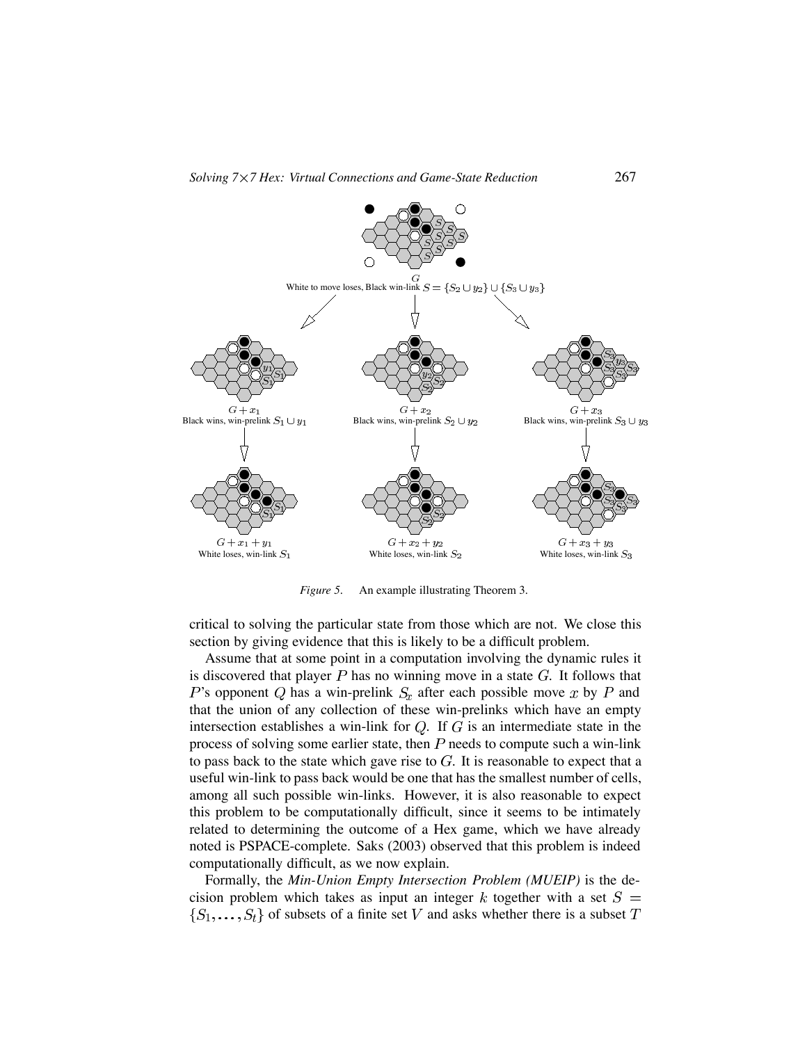

*Figure 5.* An example illustrating Theorem 3.

critical to solving the particular state from those which are not. We close this section by giving evidence that this is likely to be a difficult problem.

Assume that at some point in a computation involving the dynamic rules it is discovered that player  $P$  has no winning move in a state  $G$ . It follows that P's opponent Q has a win-prelink  $S_x$  after each possible move x by P and that the union of any collection of these win-prelinks which have an empty intersection establishes a win-link for  $Q$ . If  $G$  is an intermediate state in the process of solving some earlier state, then  $P$  needs to compute such a win-link to pass back to the state which gave rise to  $G$ . It is reasonable to expect that a useful win-link to pass back would be one that has the smallest number of cells, among all such possible win-links. However, it is also reasonable to expect this problem to be computationally difficult, since it seems to be intimately related to determining the outcome of a Hex game, which we have already noted is PSPACE-complete. Saks (2003) observed that this problem is indeed computationally difficult, as we now explain.

Formally, the *Min-Union Empty Intersection Problem (MUEIP)* is the decision problem which takes as input an integer k together with a set  $S =$  $\{S_1, \ldots, S_t\}$  of subsets of a finite set V and asks whether there is a subset T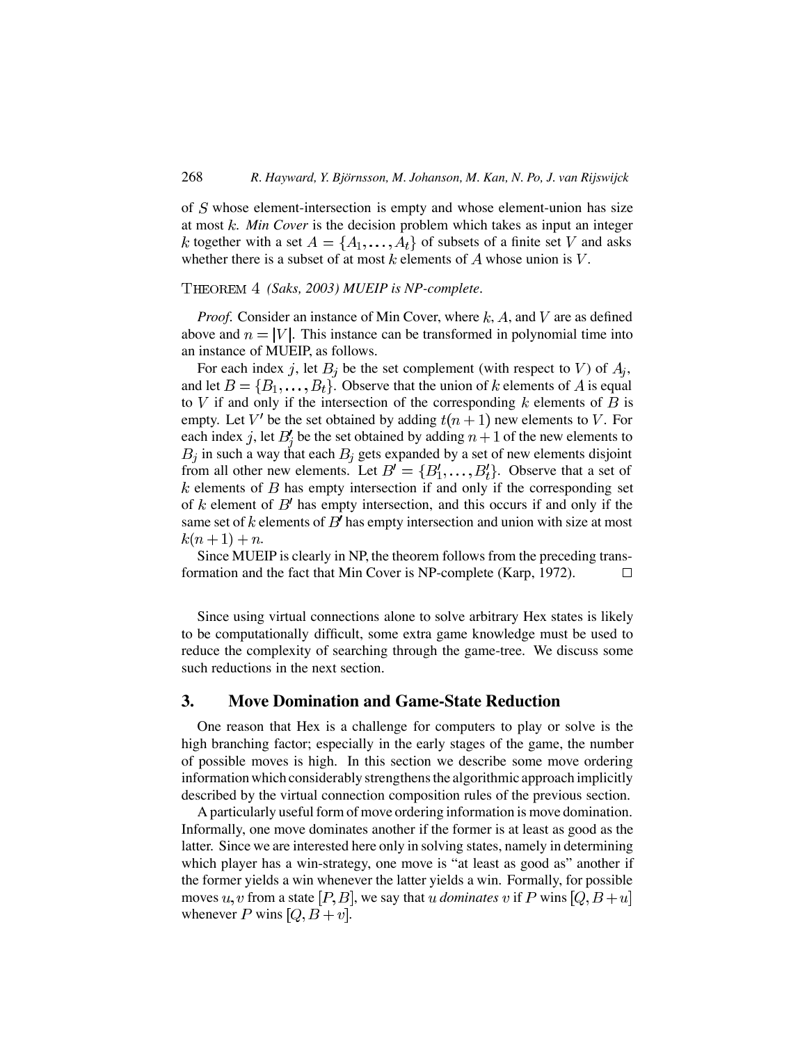#### 268 *R. Hayward, Y. Bjornsson, ¨ M. Johanson, M. Kan, N. Po, J. van Rijswijck*

of  $S$  whose element-intersection is empty and whose element-union has size at most  $k$ . *Min Cover* is the decision problem which takes as input an integer k together with a set  $A = \{A_1, \ldots, A_t\}$  of subsets of a finite set V and asks whether there is a subset of at most  $k$  elements of  $A$  whose union is  $V$ .

#### *(Saks, 2003) MUEIP is NP-complete.*

*Proof.* Consider an instance of Min Cover, where  $k$ ,  $A$ , and  $V$  are as defined above and  $n = |V|$ . This instance can be transformed in polynomial time into an instance of MUEIP, as follows.

For each index j, let  $B_i$  be the set complement (with respect to V) of  $A_i$ , and let  $B = \{B_1, \ldots, B_t\}$ . Observe that the union of k elements of A is equal to  $V$  if and only if the intersection of the corresponding  $k$  elements of  $B$  is empty. Let V' be the set obtained by adding  $t(n + 1)$  new elements to V. For each index j, let  $B'_j$  be the set obtained by adding  $n+1$  of the new elements to  $B_j$  in such a way that each  $B_j$  gets expanded by a set of new elements disjoint from all other new elements. Let  $B' = \{B'_1, \ldots, B'_t\}$ . Observe that a set of  $k$  elements of  $B$  has empty intersection if and only if the corresponding set of  $k$  element of  $B'$  has empty intersection, and this occurs if and only if the same set of  $k$  elements of  $B'$  has empty intersection and union with size at most  $k(n+1)+n$ .

Since MUEIP is clearly in NP, the theorem follows from the preceding transformation and the fact that Min Cover is NP-complete (Karp, 1972).  $\Box$ 

Since using virtual connections alone to solve arbitrary Hex states is likely to be computationally difficult, some extra game knowledge must be used to reduce the complexity of searching through the game-tree. We discuss some such reductions in the next section.

#### **3. Move Domination and Game-State Reduction**

One reason that Hex is a challenge for computers to play or solve is the high branching factor; especially in the early stages of the game, the number of possible moves is high. In this section we describe some move ordering information which considerably strengthens the algorithmic approach implicitly described by the virtual connection composition rules of the previous section.

A particularly usefulform of move ordering information is move domination. Informally, one move dominates another if the former is at least as good as the latter. Since we are interested here only in solving states, namely in determining which player has a win-strategy, one move is "at least as good as" another if the former yields a win whenever the latter yields a win. Formally, for possible moves u, v from a state  $[P, B]$ , we say that u dominates v if P wins  $[Q, B + u]$ whenever P wins  $[Q, B + v]$ .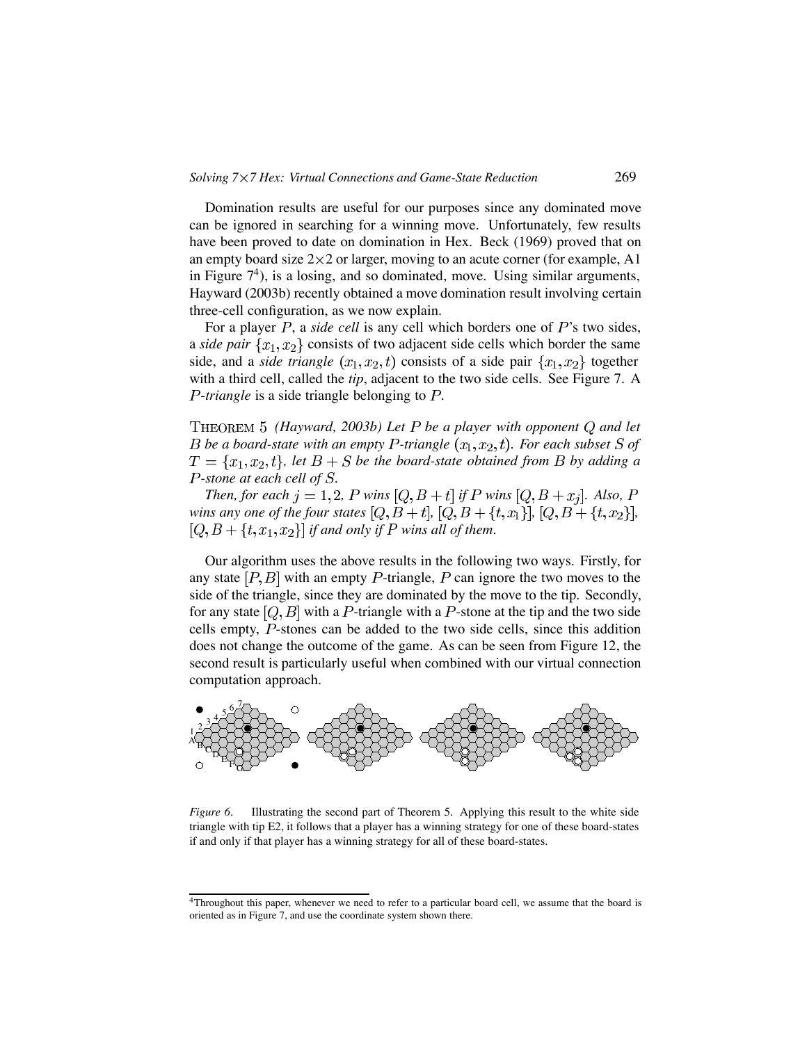Domination results are useful for our purposes since any dominated move can be ignored in searching for a winning move. Unfortunately, few results have been proved to date on domination in Hex. Beck (1969) proved that on an empty board size  $2 \times 2$  or larger, moving to an acute corner (for example, A1 in Figure  $7<sup>4</sup>$ ), is a losing, and so dominated, move. Using similar arguments, Hayward (2003b) recently obtained a move domination result involving certain three-cell configuration, as we now explain.

For a player  $P$ , a *side cell* is any cell which borders one of  $P$ 's two sides, a *side pair*  $\{x_1, x_2\}$  consists of two adjacent side cells which border the same side, and a *side triangle*  $(x_1, x_2, t)$  consists of a side pair  $\{x_1, x_2\}$  together with a third cell, called the *tip*, adjacent to the two side cells. See Figure 7. A *P*-*triangle* is a side triangle belonging to P.

THEOREM  $5$  (Hayward, 2003b) Let  $P$  be a player with opponent  $Q$  and let *B be a board-state with an empty P*-triangle  $(x_1, x_2, t)$ *. For each subset S of*  $T = \{x_1, x_2, t\}$ , let  $B + S$  be the board-state obtained from B by adding a *-stone at each cell of .*

*Then, for each*  $j = 1, 2$ , *P* wins  $[Q, B + t]$  if *P* wins  $[Q, B + x_j]$ . Also, *P wins any one of the four states*  $[Q, B + t]$ ,  $[Q, B + {t, x_1}]$ ,  $[Q, B + {t, x_2}]$ ,  $[Q, B + \{t, x_1, x_2\}]$  *if and only if P* wins *all of them.* 

Our algorithm uses the above results in the following two ways. Firstly, for any state  $[P, B]$  with an empty P-triangle, P can ignore the two moves to the side of the triangle, since they are dominated by the move to the tip. Secondly, for any state  $[Q, B]$  with a P-triangle with a P-stone at the tip and the two side cells empty,  $P$ -stones can be added to the two side cells, since this addition does not change the outcome of the game. As can be seen from Figure 12, the second result is particularly useful when combined with our virtual connection computation approach.



*Figure* 6. Illustrating the second part of Theorem 5. Applying this result to the white side triangle with tip E2, it follows that a player has a winning strategy for one of these board-states if and only if that player has a winning strategy for all of these board-states.

<sup>&</sup>lt;sup>4</sup>Throughout this paper, whenever we need to refer to a particular board cell, we assume that the board is oriented as in Figure 7, and use the coordinate system shown there.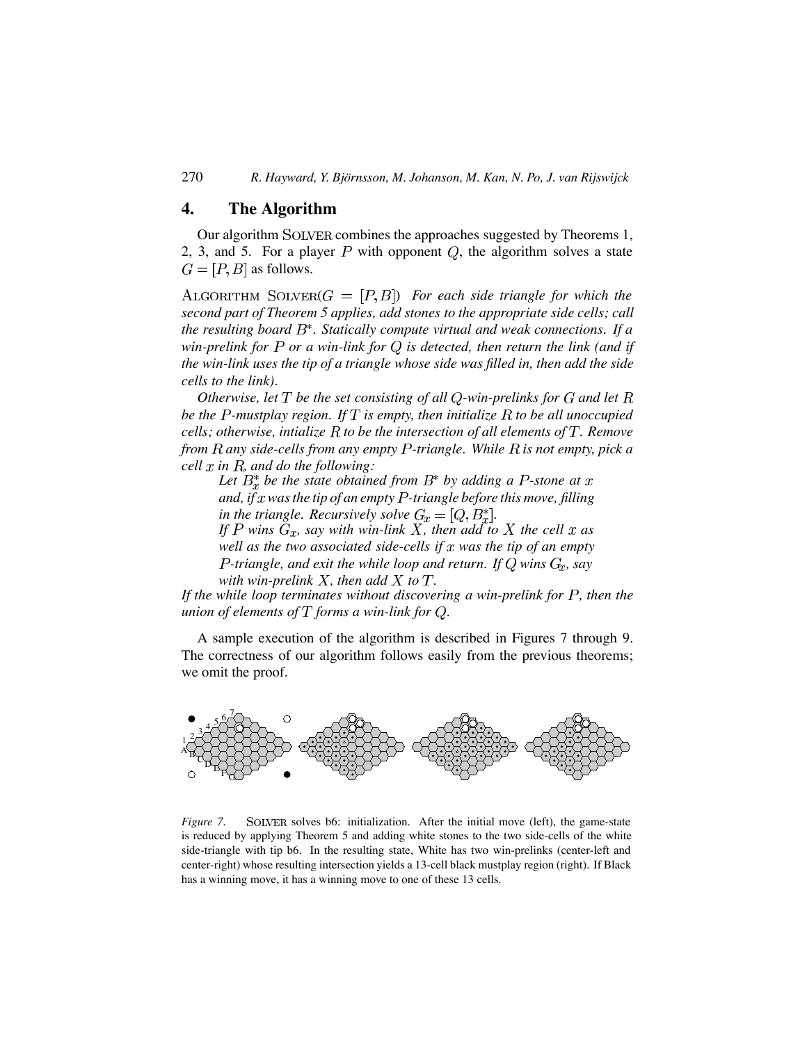# **4. The Algorithm**

Our algorithm SOLVER combines the approaches suggested by Theorems 1, 2, 3, and 5. For a player  $P$  with opponent  $Q$ , the algorithm solves a state  $G = [P, B]$  as follows.

 $ALGORITHM$   $SOLVER(G = [P, B])$  *For each side triangle for which the second part of Theorem 5 applies, add stones to the appropriate side cells; call the resulting board . Statically compute virtual and weak connections. If a win-prelink for or a win-link for is detected, then return the link (and if the win-link uses the tip of a triangle whose side was filled in, then add the side cells to the link).*

*Otherwise, let*  $T$  *be the set consisting of all Q-win-prelinks for*  $G$  *and let*  $R$ *be* the P-mustplay region. If  $T$  is empty, then initialize  $R$  to be all unoccupied *cells; otherwise, intialize to be the intersection of all elements of . Remove from*  $R$  *any side-cells from any empty*  $P$ -triangle. While  $R$  *is not empty, pick a*  $cell x$  *in*  $R$ *, and do the following:* 

Let  $B_x^*$  be the state obtained from  $B^*$  by adding a P-stone at x *and, if wasthe tip of an empty -triangle before this move, filling in the triangle. Recursively solve*  $G_x = [Q, B_x^*].$ 

*If*  $P$  wins  $\tilde{G}_x$ , say with win-link  $\tilde{X}$ , then add to  $\tilde{X}$  the cell  $x$  as *well as the two associated side-cells if was the tip of an empty P*-triangle, and exit the while loop and return. If  $Q$  wins  $G_x$ , say

with win-prelink  $X$ , then add  $X$  to  $T$ .<br>If the while loop terminates without discovering a win-prelink for  $P$ , then the *union of elements of*  $T$  *forms a win-link for*  $Q$ *.* 

A sample execution of the algorithm is described in Figures 7 through 9. The correctness of our algorithm follows easily from the previous theorems; we omit the proof.



*Figure* 7. SOLVER solves b6: initialization. After the initial move (left), the game-state is reduced by applying Theorem 5 and adding white stones to the two side-cells of the white side-triangle with tip b6. In the resulting state, White has two win-prelinks (center-left and center-right) whose resulting intersection yields a 13-cell black mustplay region (right). If Black has a winning move, it has a winning move to one of these 13 cells.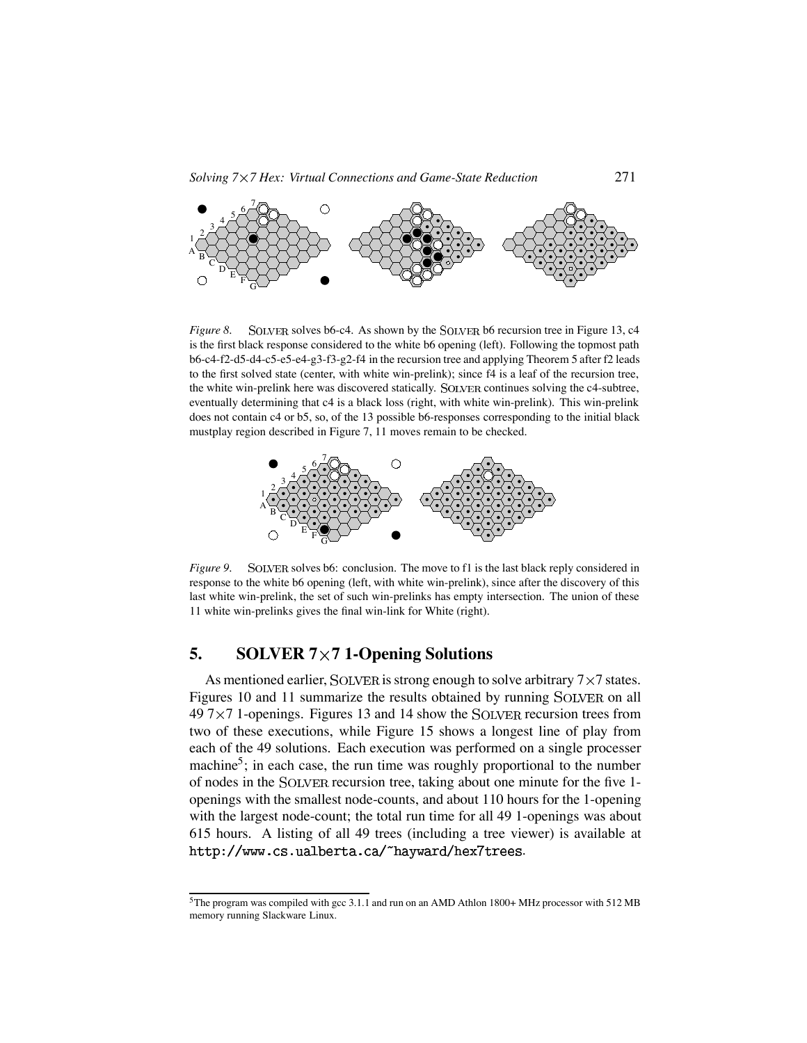

*Figure* 8. SOLVER solves b6-c4. As shown by the SOLVER b6 recursion tree in Figure 13, c4 is the first black response considered to the white b6 opening (left). Following the topmost path b6-c4-f2-d5-d4-c5-e5-e4-g3-f3-g2-f4 in the recursion tree and applying Theorem 5 after f2 leads to the first solved state (center, with white win-prelink); since f4 is a leaf of the recursion tree, the white win-prelink here was discovered statically. SOLVER continues solving the c4-subtree, eventually determining that c4 is a black loss (right, with white win-prelink). This win-prelink does not contain c4 or b5, so, of the 13 possible b6-responses corresponding to the initial black mustplay region described in Figure 7, 11 moves remain to be checked.



*Figure* 9. SOLVER solves b6: conclusion. The move to f1 is the last black reply considered in response to the white b6 opening (left, with white win-prelink), since after the discovery of this last white win-prelink, the set of such win-prelinks has empty intersection. The union of these 11 white win-prelinks gives the final win-link for White (right).

# **5. SOLVER 7 7 1-Opening Solutions**

As mentioned earlier, SOLVER is strong enough to solve arbitrary  $7 \times 7$  states. Figures 10 and 11 summarize the results obtained by running SOLVER on all  $49.7 \times 7$  1-openings. Figures 13 and 14 show the SOLVER recursion trees from two of these executions, while Figure 15 shows a longest line of play from each of the 49 solutions. Each execution was performed on a single processer machine<sup>5</sup>; in each case, the run time was roughly proportional to the number of nodes in the SOLVER recursion tree, taking about one minute for the five 1openings with the smallest node-counts, and about 110 hours for the 1-opening with the largest node-count; the total run time for all 49 1-openings was about 615 hours. A listing of all 49 trees (including a tree viewer) is available at http://www.cs.ualberta.ca/"hayward/hex7trees.

<sup>5</sup>The program was compiled with gcc 3.1.1 and run on an AMD Athlon 1800+ MHz processor with 512 MB memory running Slackware Linux.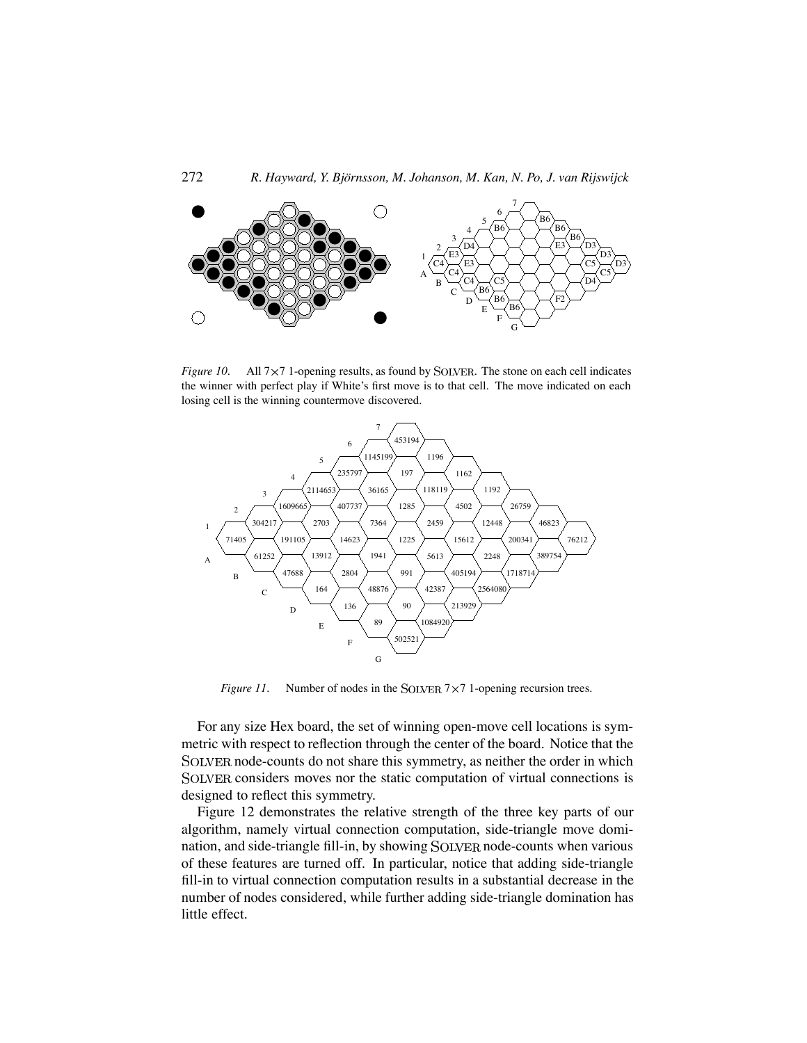

*Figure* 10. All  $7 \times 7$  1-opening results, as found by SOLVER. The stone on each cell indicates the winner with perfect play if White's first move is to that cell. The move indicated on each losing cell is the winning countermove discovered.



*Figure 11.* Number of nodes in the SOLVER 7×7 1-opening recursion trees.

For any size Hex board, the set of winning open-move cell locations is symmetric with respect to reflection through the center of the board. Notice that the SOLVER node-counts do not share this symmetry, as neither the order in which SOLVER considers moves nor the static computation of virtual connections is designed to reflect this symmetry.

Figure 12 demonstrates the relative strength of the three key parts of our algorithm, namely virtual connection computation, side-triangle move domination, and side-triangle fill-in, by showing SOLVER node-counts when various of these features are turned off. In particular, notice that adding side-triangle fill-in to virtual connection computation results in a substantial decrease in the number of nodes considered, while further adding side-triangle domination has little effect.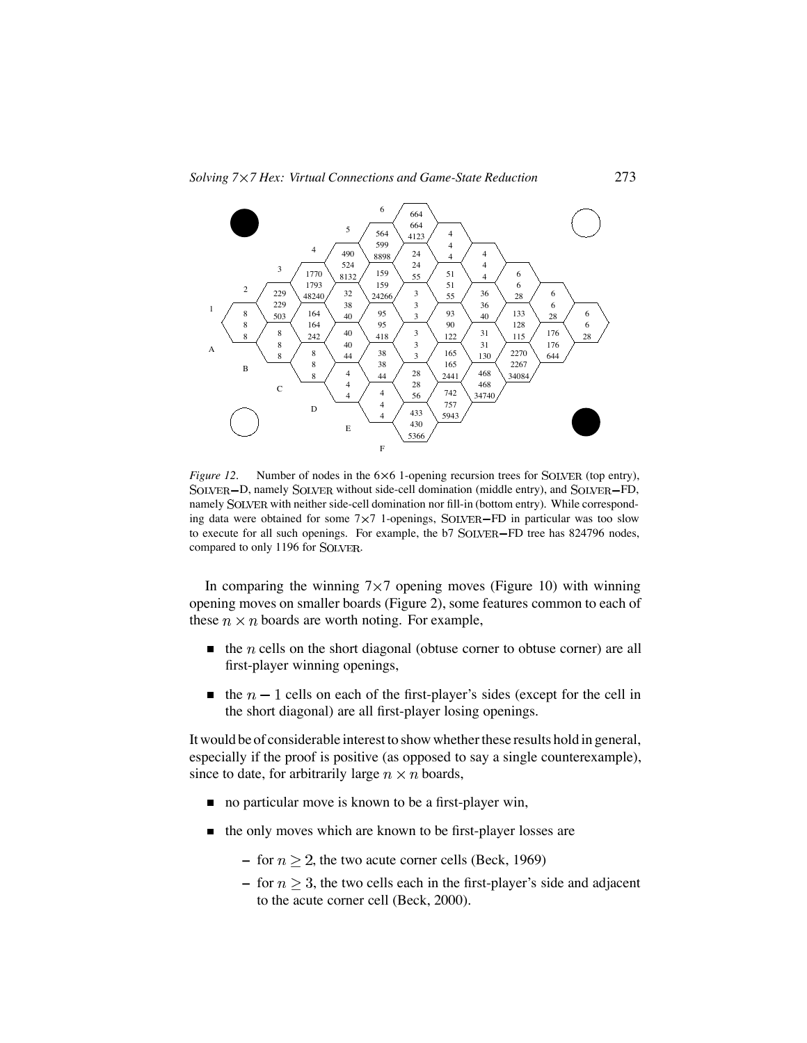

*Figure* 12. Number of nodes in the  $6 \times 6$  1-opening recursion trees for SOLVER (top entry), SOLVER-D, namely SOLVER without side-cell domination (middle entry), and SOLVER-FD, namely SOLVER with neither side-cell domination nor fill-in (bottom entry). While corresponding data were obtained for some  $7 \times 7$  1-openings, SOLVER-FD in particular was too slow to execute for all such openings. For example, the b7 SOLVER-FD tree has 824796 nodes, compared to only 1196 for SOLVER.

In comparing the winning  $7 \times 7$  opening moves (Figure 10) with winning opening moves on smaller boards (Figure 2), some features common to each of these  $n \times n$  boards are worth noting. For example,

- $\blacksquare$  the *n* cells on the short diagonal (obtuse corner to obtuse corner) are all first-player winning openings,
- $\blacksquare$  the  $n-1$  cells on each of the first-player's sides (except for the cell in the short diagonal) are all first-player losing openings.

It would be of considerable interest to show whether these results hold in general, especially if the proof is positive (as opposed to say a single counterexample), since to date, for arbitrarily large  $n \times n$  boards,

- no particular move is known to be a first-player win,
- $\blacksquare$  the only moves which are known to be first-player losses are
	- **–** for  $n \geq 2$ , the two acute corner cells (Beck, 1969)
	- **–** for  $n \geq 3$ , the two cells each in the first-player's side and adjacent to the acute corner cell (Beck, 2000).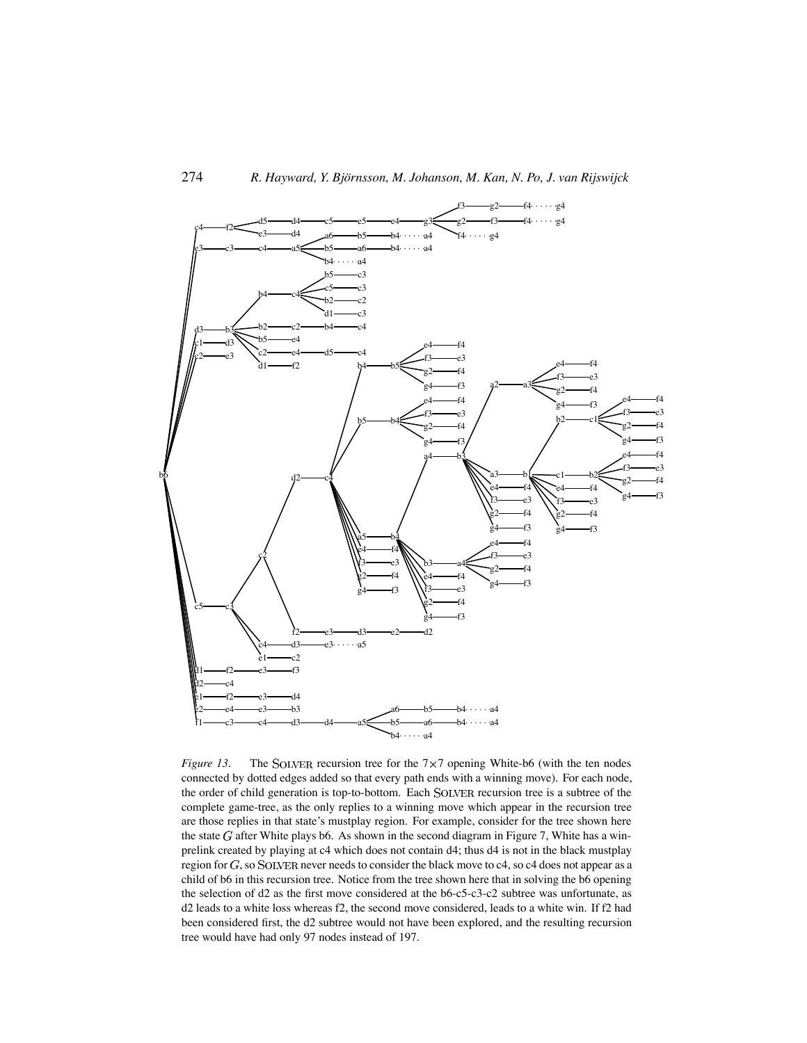

*Figure* 13. The SOLVER recursion tree for the  $7 \times 7$  opening White-b6 (with the ten nodes connected by dotted edges added so that every path ends with a winning move). For each node, the order of child generation is top-to-bottom. Each SOLVER recursion tree is a subtree of the complete game-tree, as the only replies to a winning move which appear in the recursion tree are those replies in that state's mustplay region. For example, consider for the tree shown here the state  $G$  after White plays b6. As shown in the second diagram in Figure 7, White has a winprelink created by playing at c4 which does not contain d4; thus d4 is not in the black mustplay region for  $G$ , so SOLVER never needs to consider the black move to c4, so c4 does not appear as a child of b6 in this recursion tree. Notice from the tree shown here that in solving the b6 opening the selection of d2 as the first move considered at the b6-c5-c3-c2 subtree was unfortunate, as d2 leads to a white loss whereas f2, the second move considered, leads to a white win. If f2 had been considered first, the d2 subtree would not have been explored, and the resulting recursion tree would have had only 97 nodes instead of 197.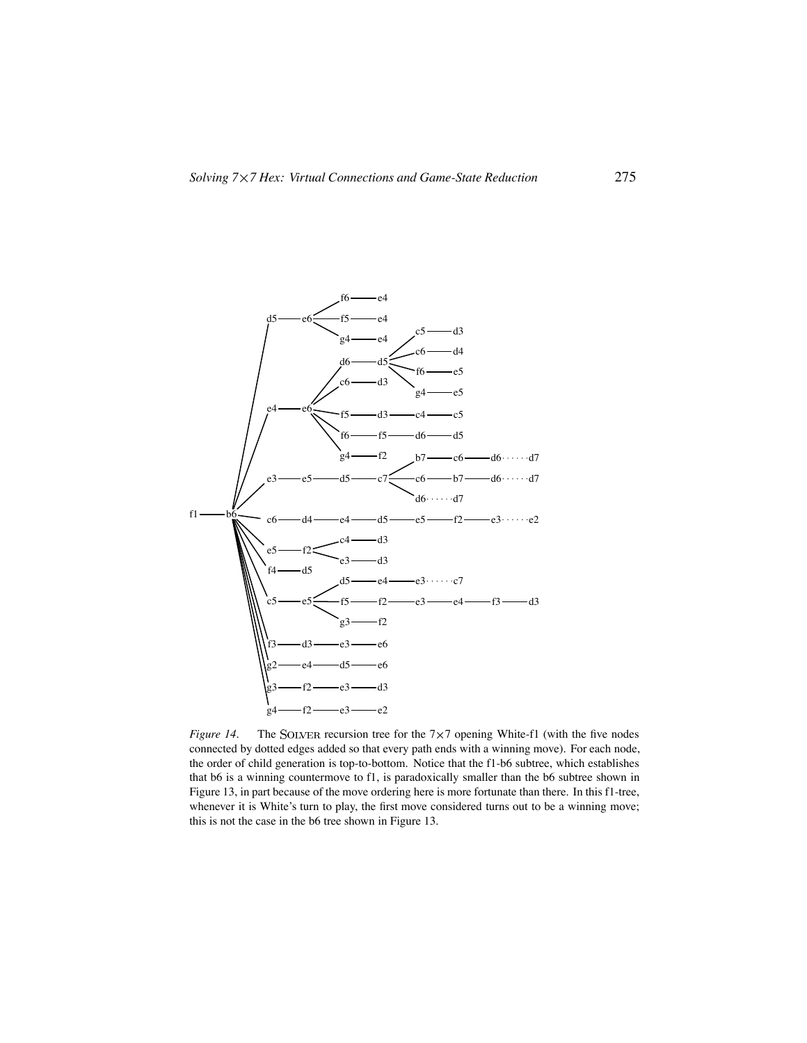

*Figure 14.* The SOLVER recursion tree for the  $7 \times 7$  opening White-f1 (with the five nodes connected by dotted edges added so that every path ends with a winning move). For each node, the order of child generation is top-to-bottom. Notice that the f1-b6 subtree, which establishes that b6 is a winning countermove to f1, is paradoxically smaller than the b6 subtree shown in Figure 13, in part because of the move ordering here is more fortunate than there. In this f1-tree, whenever it is White's turn to play, the first move considered turns out to be a winning move; this is not the case in the b6 tree shown in Figure 13.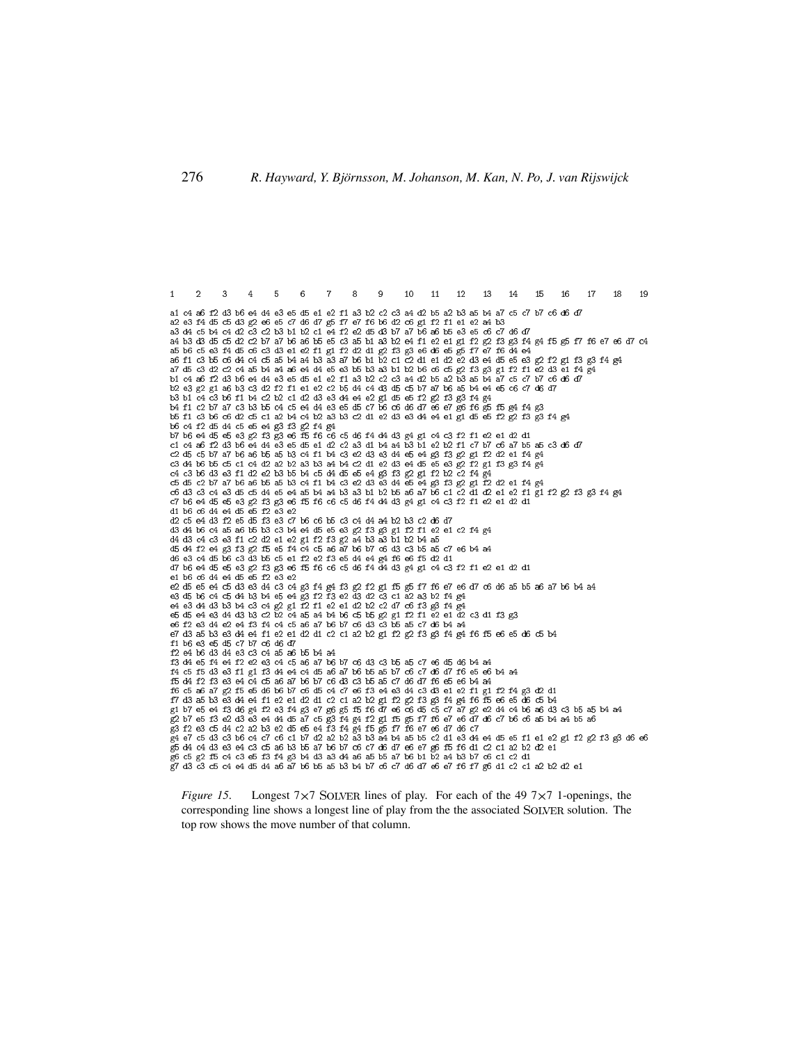$\mathbf{1}$  $\overline{2}$ 3  $\overline{4}$ 5 6  $\overline{7}$ 8 9  $10$ 11 12 13 14 15 16 17 18 19 a1 c4 a6 f2 d3 b6 e4 d4 e3 e5 d5 e1 e2 f1 a3 b2 c2 c3 a4 d2 b5 a2 b3 a5 b4 a7 c5 c7 b7 c6 d6 d7 a 2 e 3 f 4 d5 c5 d3 g2 e 6 e5 c7 d6 d7 g5 f7 e7 f6 b6 d2 c6 g1 f2 f1 e1 e2 a4 b3<br>a3 d4 c5 b4 c4 d2 c3 c2 b3 b1 b2 c1 e4 f2 e2 d5 d3 b7 a7 b6 a6 b5 e3 e5 c6 c7 d6 d7<br>a4 b3 d3 d5 c5 d2 c2 b7 a7 b6 a6 b5 e5 c3 a5 b1 a3 b2 e4 a5 b6 c5 e3 f4 d5 c6 c3 d3 e1 e2 f1 g1 f2 d2 d1 g2 f3 g3 e6 d6 e5 g5 f7 e7 f6 d4 e4<br>a6 f1 c3 b5 c6 d4 c4 c5 a5 b4 a4 b3 a3 a7 b6 b1 b2 c1 c2 d1 e1 d2 e2 d3 e4 d5 e5 e3 g2 f2 g1 f3 g3 f4 g4 and 1 co 60 co 64 co 64 co 64 co 64 co 64 co 64 co 65 co 65 co 65 co 65 co 65 co 65 co 65 co 65 co 65 co 65 co 64 co 64 co 64 co 64 co 65 co 65 co 65 co 65 co 65 co 65 co 65 co 65 co 65 co 65 co 65 co 65 co 65 co 65 co 65 0 CH and 12 CH at a 2 CH at a 2 CH at a 2 CH at a 2 CH at a 2 CH at a 2 CH at a 2 CH at a 2 CH at a 2 CH at a 2 CH at a 2 CH at a 2 CH at a 2 CH at a 2 CH at a 2 CH at a 2 CH at a 2 CH at a 2 CH at a 2 CH at a 2 CH at a 2 b6 c4 f2 d5 d4 c5 e6 e4 g3 f3 g2 f4 g4<br>b7 b6 e4 d5 e5 e3 g2 f3 g3 e6 f5 f6 c6 c5 d6 f4 d4 d3 g4 g1 c4 c3 f2 f1 e2 e1 d2 d1<br>c1 c4 a6 f2 d3 b6 e4 d4 e3 e5 d5 e1 d2 c2 a3 d1 b4 a4 b3 b1 e2 b2 f1 c7 b7 c6 a7 b5 a5 c3 d6 d7 2 d5 c5 b7 a7 b6 a6 b5 a5 b3 c4 f1 b4 c3 e2 d3 e3 d4 e5 e4 g3 f3 g2 g1 f2 d2 e1 f4 g4<br>c3 d4 b6 b5 c5 c1 c4 d2 a2 b2 a3 b3 a4 b4 c2 d1 e2 d3 e4 d5 e5 e3 g2 f2 g1 f3 g3 f4 g4<br>c4 c3 b6 d3 e3 f1 d2 e2 b3 b5 b4 c5 d4 d5 e5 e4 g CF d5 C2 b7 a7 b6 a6 b5 a5 b3 c4 f1 b4 c3 e2 d3 e3 d4 e5 e4 g3 f3 g2 g1 f2 d2 e1 f4 g4<br>c6 d3 c3 c4 e3 d5 c5 d4 e5 e4 a5 b4 a4 b3 a3 b1 b2 b5 a6 a7 b6 c1 c2 d1 d2 e1 e2 f1 g1 f2 g2 f3 g3 f4 g4<br>c7 b6 e4 d5 e6 e3 g2 f3 g3 e6 d1 b6 c6 d4 e4 d5 e5 f2 e3 e2<br>d2 c5 e4 d4 a4 b2 b3 c2 d6 d7<br>d3 d4 b6 c4 a5 a6 b5 b3 c3 b4 e4 d5 e5 e3 g2 f3 g3 g1 f2 f1 e2 e1 c2 f4 g4<br>d4 d3 c4 c3 e3 f1 c2 d2 e1 e2 g1 f2 f3 g2 a4 b3 a3 b1 b2 b4 a5<br>d5 d4 f2 e4 g3 f3 g3 g1 e 2 d5 d4 d5 d4 d5 d3 d4 c3 d4 g3 f4 g4 f3 g2 f2 g1 f5 g5 f7 f6 e7 e6 d7 c6 d6 a5 b5 a6 a7 b6 b4 a4<br>e3 d5 b6 c4 c5 d4 b3 b4 e5 e4 g3 f2 f4 g4 f3 g2 f2 g1 f5 g5 f7 f6 e7 e6 d7 c6 d6 a5 b5 a6 a7 b6 b4 a4<br>e4 e3 d5 b6 c4 c5 d f1 b6 e3 e5 d5 c7 b7 c6 d6 d7 11 b6 e3 eb c7 b7 c7 e5 d3 c3 b5 a5 c7 e6 d5 d6 b4 a4<br>12 e4 b6 d3 d4 e3 c3 c4 a5 a6 a7 b6 b7 c6 d3 c3 b5 a5 c7 e6 d5 d6 b4 a4<br>13 d4 e5 f4 e4 f2 e2 e3 c4 c5 a6 a7 b6 b7 c6 d3 c3 b5 a5 c7 e6 d5 d6 b4 a4<br>14 c5 f5 d3 e3 f1 g1 g2 b7 e5 f3 e2 d3 e3 e4 d4 d5 a7 c5 g3 f4 g4 f2 g1 f5 g5 f7 f6 e7 e6 d7 d6 c7 b6 c6 a5 b4 a4 b5 a6<br>g3 f2 e3 c5 d4 c2 a2 b3 e2 d5 e6 e4 f3 f4 g4 f5 g5 f7 f6 e7 e6 d7 d6 c7 b6 c6 a5 b4 a4 b5 a6<br>g3 f2 e3 c5 d4 c2 a2 b3 e2 d5 gr 3 d4 c4 d3 e3 e4 c3 c5 a6 b3 b5 a7 b6 b7 c6 c7 d6 d7 e6 e7 g6 f5 f6 d1 c2 c1 a2 b2 d2 e1<br>g6 c5 g2 f5 c4 c3 e5 f3 f4 g3 b4 d3 a3 d4 a6 a5 b5 a7 b6 b1 b2 a4 b3 b7 c6 c1 c2 d1<br>g7 d3 c3 c5 c4 e4 d5 d4 a6 a7 b6 b5 a5 b3 b4 b

*Figure* 15. Longest  $7 \times 7$  SOLVER lines of play. For each of the 49  $7 \times 7$  1-openings, the corresponding line shows a longest line of play from the the associated SOLVER solution. The top row shows the move number of that column.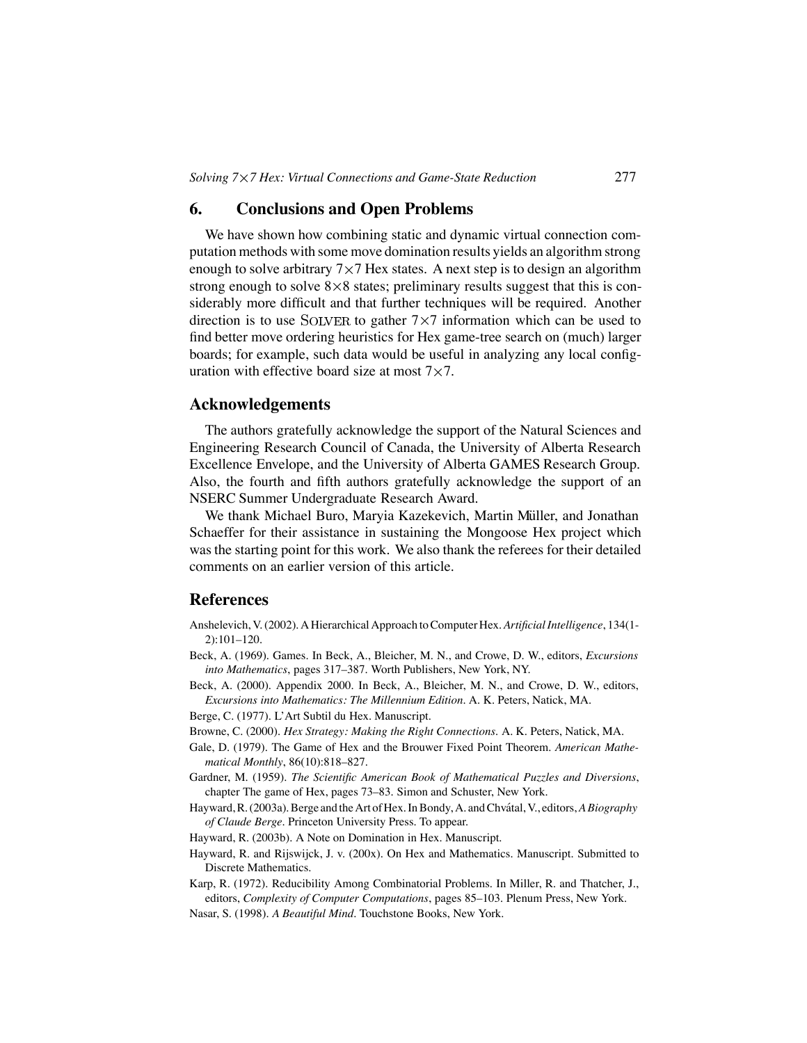## **6. Conclusions and Open Problems**

We have shown how combining static and dynamic virtual connection computation methods with some move domination results yields an algorithm strong enough to solve arbitrary  $7 \times 7$  Hex states. A next step is to design an algorithm strong enough to solve  $8 \times 8$  states; preliminary results suggest that this is considerably more difficult and that further techniques will be required. Another direction is to use SOLVER to gather  $7 \times 7$  information which can be used to find better move ordering heuristics for Hex game-tree search on (much) larger boards; for example, such data would be useful in analyzing any local configuration with effective board size at most  $7 \times 7$ .

#### **Acknowledgements**

The authors gratefully acknowledge the support of the Natural Sciences and Engineering Research Council of Canada, the University of Alberta Research Excellence Envelope, and the University of Alberta GAMES Research Group. Also, the fourth and fifth authors gratefully acknowledge the support of an NSERC Summer Undergraduate Research Award.

We thank Michael Buro, Maryia Kazekevich, Martin Müller, and Jonathan Schaeffer for their assistance in sustaining the Mongoose Hex project which wasthe starting point for this work. We also thank the referees for their detailed comments on an earlier version of this article.

# **References**

- Anshelevich, V.(2002). A Hierarchical Approach toComputer Hex.*ArtificialIntelligence*, 134(1- 2):101–120.
- Beck, A. (1969). Games. In Beck, A., Bleicher, M. N., and Crowe, D. W., editors, *Excursions into Mathematics*, pages 317–387. Worth Publishers, New York, NY.
- Beck, A. (2000). Appendix 2000. In Beck, A., Bleicher, M. N., and Crowe, D. W., editors, *Excursions into Mathematics: The Millennium Edition*. A. K. Peters, Natick, MA.
- Berge, C. (1977). L'Art Subtil du Hex. Manuscript.
- Browne, C. (2000). *Hex Strategy: Making the Right Connections*. A. K. Peters, Natick, MA.
- Gale, D. (1979). The Game of Hex and the Brouwer Fixed Point Theorem. *American Mathematical Monthly*, 86(10):818–827.
- Gardner, M. (1959). *The Scientific American Book of Mathematical Puzzles and Diversions*, chapter The game of Hex, pages 73–83. Simon and Schuster, New York.
- Hayward, R. (2003a). Berge and the Art of Hex. In Bondy, A. and Chvátal, V., editors, *A Biography of Claude Berge*. Princeton University Press. To appear.
- Hayward, R. (2003b). A Note on Domination in Hex. Manuscript.
- Hayward, R. and Rijswijck, J. v. (200x). On Hex and Mathematics. Manuscript. Submitted to Discrete Mathematics.
- Karp, R. (1972). Reducibility Among Combinatorial Problems. In Miller, R. and Thatcher, J., editors, *Complexity of Computer Computations*, pages 85–103. Plenum Press, New York.
- Nasar, S. (1998). *A Beautiful Mind*. Touchstone Books, New York.